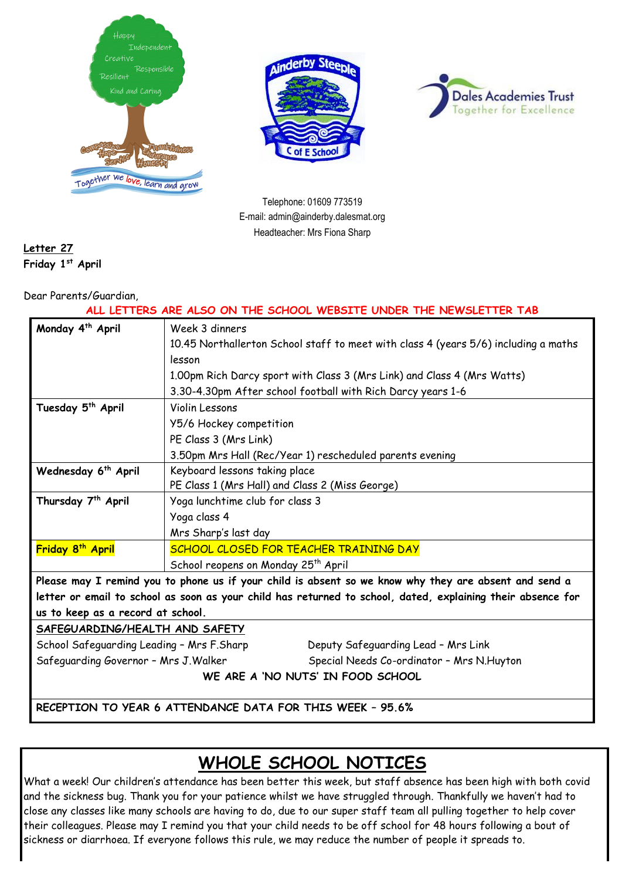





Telephone: 01609 773519 E-mail: admin@ainderby.dalesmat.org Headteacher: Mrs Fiona Sharp

**Letter 27 Friday 1 st April** 

Dear Parents/Guardian,

| ALL LETTERS ARE ALSO ON THE SCHOOL WEBSITE UNDER THE NEWSLETTER TAB                                         |                                                 |                                                                                     |  |
|-------------------------------------------------------------------------------------------------------------|-------------------------------------------------|-------------------------------------------------------------------------------------|--|
| Monday 4 <sup>th</sup> April                                                                                | Week 3 dinners                                  |                                                                                     |  |
|                                                                                                             |                                                 | 10.45 Northallerton School staff to meet with class 4 (years 5/6) including a maths |  |
|                                                                                                             | lesson                                          |                                                                                     |  |
|                                                                                                             |                                                 | 1.00pm Rich Darcy sport with Class 3 (Mrs Link) and Class 4 (Mrs Watts)             |  |
|                                                                                                             |                                                 | 3.30-4.30pm After school football with Rich Darcy years 1-6                         |  |
| Tuesday 5 <sup>th</sup> April                                                                               | Violin Lessons                                  |                                                                                     |  |
|                                                                                                             | Y5/6 Hockey competition                         |                                                                                     |  |
|                                                                                                             | PE Class 3 (Mrs Link)                           |                                                                                     |  |
|                                                                                                             |                                                 | 3.50pm Mrs Hall (Rec/Year 1) rescheduled parents evening                            |  |
| Wednesday 6 <sup>th</sup> April                                                                             | Keyboard lessons taking place                   |                                                                                     |  |
|                                                                                                             | PE Class 1 (Mrs Hall) and Class 2 (Miss George) |                                                                                     |  |
| Thursday 7 <sup>th</sup> April                                                                              | Yoga lunchtime club for class 3                 |                                                                                     |  |
|                                                                                                             | Yoga class 4                                    |                                                                                     |  |
|                                                                                                             | Mrs Sharp's last day                            |                                                                                     |  |
| Friday 8 <sup>th</sup> April                                                                                | SCHOOL CLOSED FOR TEACHER TRAINING DAY          |                                                                                     |  |
|                                                                                                             | School reopens on Monday 25 <sup>th</sup> April |                                                                                     |  |
| Please may I remind you to phone us if your child is absent so we know why they are absent and send a       |                                                 |                                                                                     |  |
| letter or email to school as soon as your child has returned to school, dated, explaining their absence for |                                                 |                                                                                     |  |
| us to keep as a record at school.                                                                           |                                                 |                                                                                     |  |
| SAFEGUARDING/HEALTH AND SAFETY                                                                              |                                                 |                                                                                     |  |
| School Safeguarding Leading - Mrs F.Sharp                                                                   |                                                 | Deputy Safeguarding Lead - Mrs Link                                                 |  |
| Safeguarding Governor - Mrs J. Walker                                                                       |                                                 | Special Needs Co-ordinator - Mrs N. Huyton                                          |  |
| WE ARE A 'NO NUTS' IN FOOD SCHOOL                                                                           |                                                 |                                                                                     |  |
|                                                                                                             |                                                 |                                                                                     |  |
| RECEPTION TO YEAR 6 ATTENDANCE DATA FOR THIS WEEK - 95.6%                                                   |                                                 |                                                                                     |  |

# **WHOLE SCHOOL NOTICES**

What a week! Our children's attendance has been better this week, but staff absence has been high with both covid and the sickness bug. Thank you for your patience whilst we have struggled through. Thankfully we haven't had to close any classes like many schools are having to do, due to our super staff team all pulling together to help cover their colleagues. Please may I remind you that your child needs to be off school for 48 hours following a bout of sickness or diarrhoea. If everyone follows this rule, we may reduce the number of people it spreads to.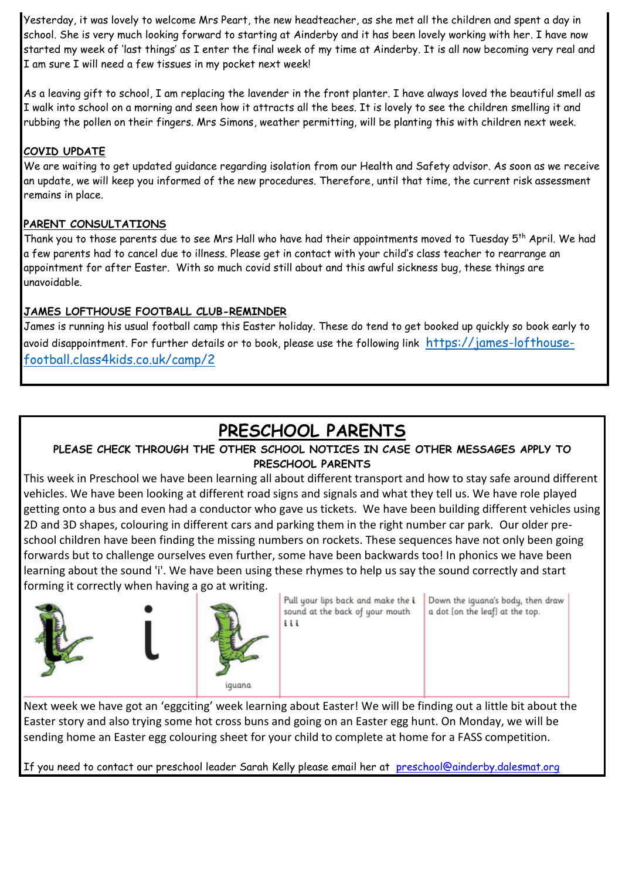Yesterday, it was lovely to welcome Mrs Peart, the new headteacher, as she met all the children and spent a day in school. She is very much looking forward to starting at Ainderby and it has been lovely working with her. I have now started my week of 'last things' as I enter the final week of my time at Ainderby. It is all now becoming very real and I am sure I will need a few tissues in my pocket next week!

As a leaving gift to school, I am replacing the lavender in the front planter. I have always loved the beautiful smell as I walk into school on a morning and seen how it attracts all the bees. It is lovely to see the children smelling it and rubbing the pollen on their fingers. Mrs Simons, weather permitting, will be planting this with children next week.

### **COVID UPDATE**

We are waiting to get updated guidance regarding isolation from our Health and Safety advisor. As soon as we receive an update, we will keep you informed of the new procedures. Therefore, until that time, the current risk assessment remains in place.

### **PARENT CONSULTATIONS**

Thank you to those parents due to see Mrs Hall who have had their appointments moved to Tuesday 5<sup>th</sup> April. We had a few parents had to cancel due to illness. Please get in contact with your child's class teacher to rearrange an appointment for after Easter. With so much covid still about and this awful sickness bug, these things are unavoidable.

### **JAMES LOFTHOUSE FOOTBALL CLUB-REMINDER**

James is running his usual football camp this Easter holiday. These do tend to get booked up quickly so book early to avoid disappointment. For further details or to book, please use the following link [https://james-lofthouse](https://james-lofthouse-football.class4kids.co.uk/camp/2)[football.class4kids.co.uk/camp/2](https://james-lofthouse-football.class4kids.co.uk/camp/2)

## **PRESCHOOL PARENTS**

### **PLEASE CHECK THROUGH THE OTHER SCHOOL NOTICES IN CASE OTHER MESSAGES APPLY TO PRESCHOOL PARENTS**

This week in Preschool we have been learning all about different transport and how to stay safe around different vehicles. We have been looking at different road signs and signals and what they tell us. We have role played getting onto a bus and even had a conductor who gave us tickets. We have been building different vehicles using 2D and 3D shapes, colouring in different cars and parking them in the right number car park. Our older preschool children have been finding the missing numbers on rockets. These sequences have not only been going forwards but to challenge ourselves even further, some have been backwards too! In phonics we have been learning about the sound 'i'. We have been using these rhymes to help us say the sound correctly and start forming it correctly when having a go at writing.



Next week we have got an 'eggciting' week learning about Easter! We will be finding out a little bit about the Easter story and also trying some hot cross buns and going on an Easter egg hunt. On Monday, we will be sending home an Easter egg colouring sheet for your child to complete at home for a FASS competition.

If you need to contact our preschool leader Sarah Kelly please email her at [preschool@ainderby.dalesmat.org](mailto:preschool@ainderby.dalesmat.org)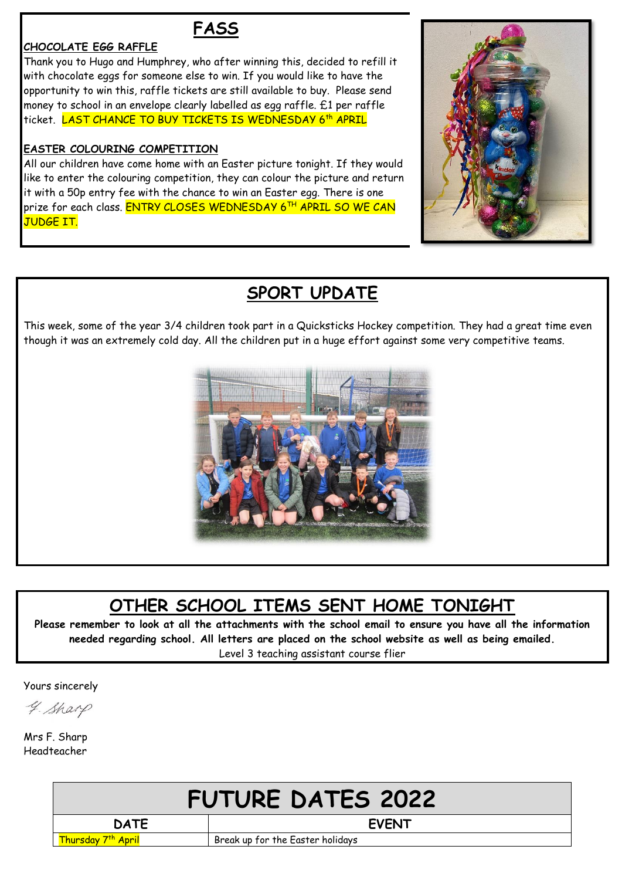## **FASS**

#### **CHOCOLATE EGG RAFFLE**

Thank you to Hugo and Humphrey, who after winning this, decided to refill it with chocolate eggs for someone else to win. If you would like to have the opportunity to win this, raffle tickets are still available to buy. Please send money to school in an envelope clearly labelled as egg raffle. £1 per raffle ticket. <mark>LAST CHANCE TO BUY TICKETS IS WEDNESDAY 6<sup>th</sup> APRIL</mark>

#### **EASTER COLOURING COMPETITION**

All our children have come home with an Easter picture tonight. If they would like to enter the colouring competition, they can colour the picture and return it with a 50p entry fee with the chance to win an Easter egg. There is one prize for each class. <mark>ENTRY CLOSES WEDNESDAY 6<sup>th</sup> APRIL SO WE CAN</mark> JUDGE IT.



### **SPORT UPDATE**

This week, some of the year 3/4 children took part in a Quicksticks Hockey competition. They had a great time even though it was an extremely cold day. All the children put in a huge effort against some very competitive teams.



# **OTHER SCHOOL ITEMS SENT HOME TONIGHT**

**Please remember to look at all the attachments with the school email to ensure you have all the information needed regarding school. All letters are placed on the school website as well as being emailed.** Level 3 teaching assistant course flier

Yours sincerely

4. Sharp

Mrs F. Sharp Headteacher

| <b>FUTURE DATES 2022</b> |                                  |  |
|--------------------------|----------------------------------|--|
| <b>DATE</b>              | <b>EVENT</b>                     |  |
| Thursday 7th April       | Break up for the Easter holidays |  |